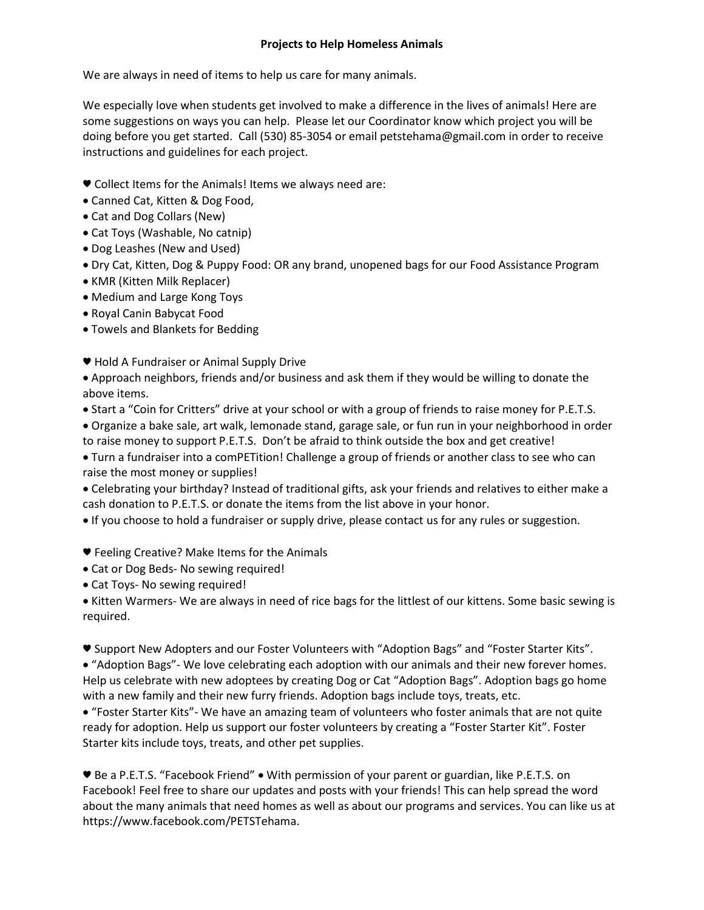## **Projects to Help Homeless Animals**

We are always in need of items to help us care for many animals.

We especially love when students get involved to make a difference in the lives of animals! Here are some suggestions on ways you can help. Please let our Coordinator know which project you will be doing before you get started. Call (530) 85-3054 or email petstehama@gmail.com in order to receive instructions and guidelines for each project.

- ♥ Collect Items for the Animals! Items we always need are:
- Canned Cat, Kitten & Dog Food,
- Cat and Dog Collars (New)
- Cat Toys (Washable, No catnip)
- Dog Leashes (New and Used)
- Dry Cat, Kitten, Dog & Puppy Food: OR any brand, unopened bags for our Food Assistance Program
- KMR (Kitten Milk Replacer)
- Medium and Large Kong Toys
- Royal Canin Babycat Food
- Towels and Blankets for Bedding
- ♥ Hold A Fundraiser or Animal Supply Drive

 Approach neighbors, friends and/or business and ask them if they would be willing to donate the above items.

- Start a "Coin for Critters" drive at your school or with a group of friends to raise money for P.E.T.S.
- Organize a bake sale, art walk, lemonade stand, garage sale, or fun run in your neighborhood in order to raise money to support P.E.T.S. Don't be afraid to think outside the box and get creative!

 Turn a fundraiser into a comPETition! Challenge a group of friends or another class to see who can raise the most money or supplies!

 Celebrating your birthday? Instead of traditional gifts, ask your friends and relatives to either make a cash donation to P.E.T.S. or donate the items from the list above in your honor.

If you choose to hold a fundraiser or supply drive, please contact us for any rules or suggestion.

- ♥ Feeling Creative? Make Items for the Animals
- Cat or Dog Beds- No sewing required!
- Cat Toys- No sewing required!

 Kitten Warmers- We are always in need of rice bags for the littlest of our kittens. Some basic sewing is required.

♥ Support New Adopters and our Foster Volunteers with "Adoption Bags" and "Foster Starter Kits".

 "Adoption Bags"- We love celebrating each adoption with our animals and their new forever homes. Help us celebrate with new adoptees by creating Dog or Cat "Adoption Bags". Adoption bags go home with a new family and their new furry friends. Adoption bags include toys, treats, etc.

 "Foster Starter Kits"- We have an amazing team of volunteers who foster animals that are not quite ready for adoption. Help us support our foster volunteers by creating a "Foster Starter Kit". Foster Starter kits include toys, treats, and other pet supplies.

♥ Be a P.E.T.S. "Facebook Friend" With permission of your parent or guardian, like P.E.T.S. on Facebook! Feel free to share our updates and posts with your friends! This can help spread the word about the many animals that need homes as well as about our programs and services. You can like us at https://www.facebook.com/PETSTehama.